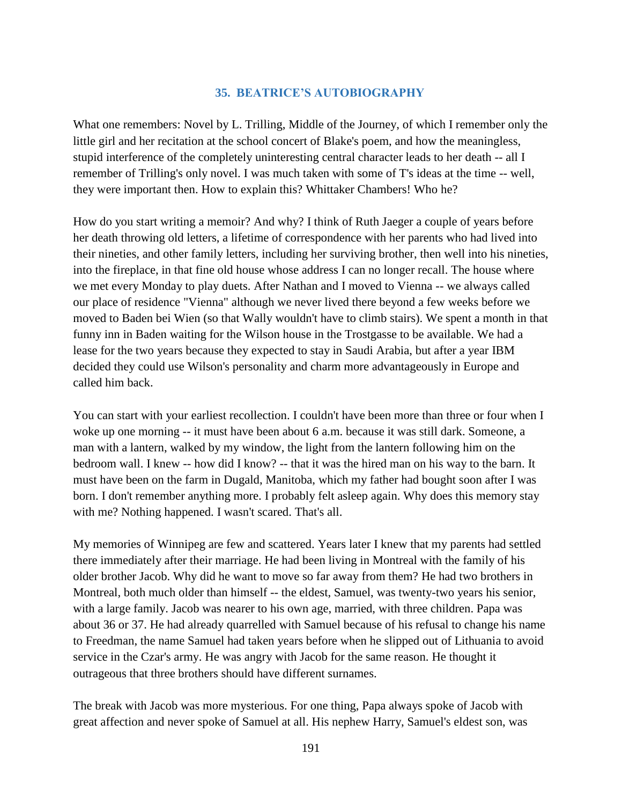## **35. BEATRICE'S AUTOBIOGRAPHY**

What one remembers: Novel by L. Trilling, Middle of the Journey, of which I remember only the little girl and her recitation at the school concert of Blake's poem, and how the meaningless, stupid interference of the completely uninteresting central character leads to her death -- all I remember of Trilling's only novel. I was much taken with some of T's ideas at the time -- well, they were important then. How to explain this? Whittaker Chambers! Who he?

How do you start writing a memoir? And why? I think of Ruth Jaeger a couple of years before her death throwing old letters, a lifetime of correspondence with her parents who had lived into their nineties, and other family letters, including her surviving brother, then well into his nineties, into the fireplace, in that fine old house whose address I can no longer recall. The house where we met every Monday to play duets. After Nathan and I moved to Vienna -- we always called our place of residence "Vienna" although we never lived there beyond a few weeks before we moved to Baden bei Wien (so that Wally wouldn't have to climb stairs). We spent a month in that funny inn in Baden waiting for the Wilson house in the Trostgasse to be available. We had a lease for the two years because they expected to stay in Saudi Arabia, but after a year IBM decided they could use Wilson's personality and charm more advantageously in Europe and called him back.

You can start with your earliest recollection. I couldn't have been more than three or four when I woke up one morning -- it must have been about 6 a.m. because it was still dark. Someone, a man with a lantern, walked by my window, the light from the lantern following him on the bedroom wall. I knew -- how did I know? -- that it was the hired man on his way to the barn. It must have been on the farm in Dugald, Manitoba, which my father had bought soon after I was born. I don't remember anything more. I probably felt asleep again. Why does this memory stay with me? Nothing happened. I wasn't scared. That's all.

My memories of Winnipeg are few and scattered. Years later I knew that my parents had settled there immediately after their marriage. He had been living in Montreal with the family of his older brother Jacob. Why did he want to move so far away from them? He had two brothers in Montreal, both much older than himself -- the eldest, Samuel, was twenty-two years his senior, with a large family. Jacob was nearer to his own age, married, with three children. Papa was about 36 or 37. He had already quarrelled with Samuel because of his refusal to change his name to Freedman, the name Samuel had taken years before when he slipped out of Lithuania to avoid service in the Czar's army. He was angry with Jacob for the same reason. He thought it outrageous that three brothers should have different surnames.

The break with Jacob was more mysterious. For one thing, Papa always spoke of Jacob with great affection and never spoke of Samuel at all. His nephew Harry, Samuel's eldest son, was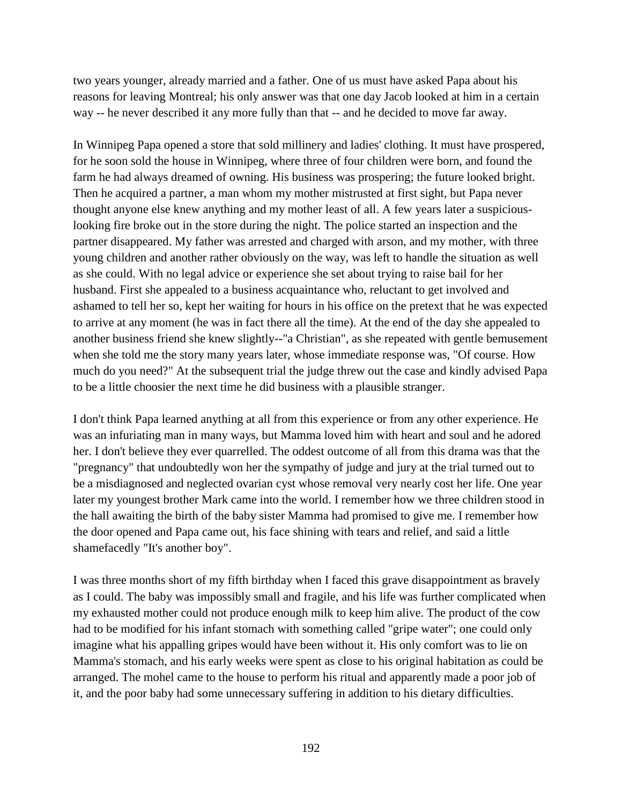two years younger, already married and a father. One of us must have asked Papa about his reasons for leaving Montreal; his only answer was that one day Jacob looked at him in a certain way -- he never described it any more fully than that -- and he decided to move far away.

In Winnipeg Papa opened a store that sold millinery and ladies' clothing. It must have prospered, for he soon sold the house in Winnipeg, where three of four children were born, and found the farm he had always dreamed of owning. His business was prospering; the future looked bright. Then he acquired a partner, a man whom my mother mistrusted at first sight, but Papa never thought anyone else knew anything and my mother least of all. A few years later a suspiciouslooking fire broke out in the store during the night. The police started an inspection and the partner disappeared. My father was arrested and charged with arson, and my mother, with three young children and another rather obviously on the way, was left to handle the situation as well as she could. With no legal advice or experience she set about trying to raise bail for her husband. First she appealed to a business acquaintance who, reluctant to get involved and ashamed to tell her so, kept her waiting for hours in his office on the pretext that he was expected to arrive at any moment (he was in fact there all the time). At the end of the day she appealed to another business friend she knew slightly--"a Christian", as she repeated with gentle bemusement when she told me the story many years later, whose immediate response was, "Of course. How much do you need?" At the subsequent trial the judge threw out the case and kindly advised Papa to be a little choosier the next time he did business with a plausible stranger.

I don't think Papa learned anything at all from this experience or from any other experience. He was an infuriating man in many ways, but Mamma loved him with heart and soul and he adored her. I don't believe they ever quarrelled. The oddest outcome of all from this drama was that the "pregnancy" that undoubtedly won her the sympathy of judge and jury at the trial turned out to be a misdiagnosed and neglected ovarian cyst whose removal very nearly cost her life. One year later my youngest brother Mark came into the world. I remember how we three children stood in the hall awaiting the birth of the baby sister Mamma had promised to give me. I remember how the door opened and Papa came out, his face shining with tears and relief, and said a little shamefacedly "It's another boy".

I was three months short of my fifth birthday when I faced this grave disappointment as bravely as I could. The baby was impossibly small and fragile, and his life was further complicated when my exhausted mother could not produce enough milk to keep him alive. The product of the cow had to be modified for his infant stomach with something called "gripe water"; one could only imagine what his appalling gripes would have been without it. His only comfort was to lie on Mamma's stomach, and his early weeks were spent as close to his original habitation as could be arranged. The mohel came to the house to perform his ritual and apparently made a poor job of it, and the poor baby had some unnecessary suffering in addition to his dietary difficulties.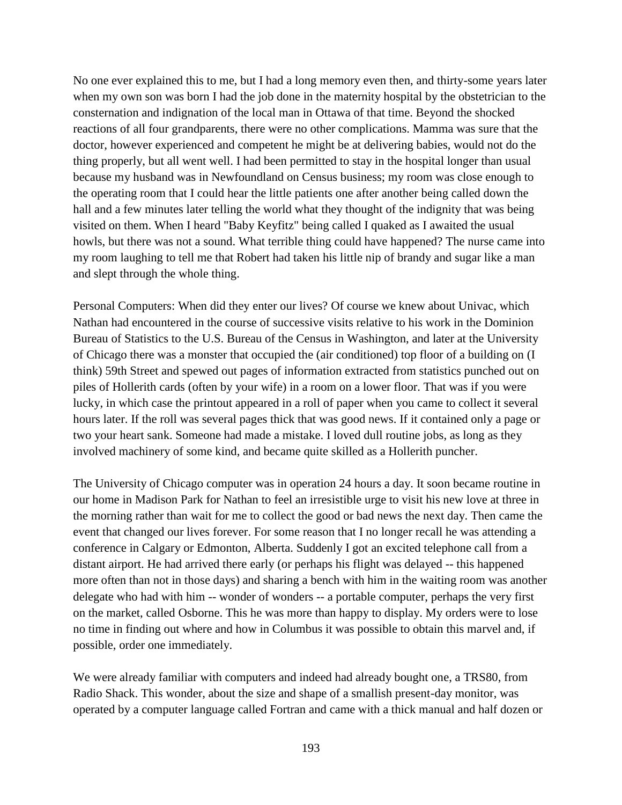No one ever explained this to me, but I had a long memory even then, and thirty-some years later when my own son was born I had the job done in the maternity hospital by the obstetrician to the consternation and indignation of the local man in Ottawa of that time. Beyond the shocked reactions of all four grandparents, there were no other complications. Mamma was sure that the doctor, however experienced and competent he might be at delivering babies, would not do the thing properly, but all went well. I had been permitted to stay in the hospital longer than usual because my husband was in Newfoundland on Census business; my room was close enough to the operating room that I could hear the little patients one after another being called down the hall and a few minutes later telling the world what they thought of the indignity that was being visited on them. When I heard "Baby Keyfitz" being called I quaked as I awaited the usual howls, but there was not a sound. What terrible thing could have happened? The nurse came into my room laughing to tell me that Robert had taken his little nip of brandy and sugar like a man and slept through the whole thing.

Personal Computers: When did they enter our lives? Of course we knew about Univac, which Nathan had encountered in the course of successive visits relative to his work in the Dominion Bureau of Statistics to the U.S. Bureau of the Census in Washington, and later at the University of Chicago there was a monster that occupied the (air conditioned) top floor of a building on (I think) 59th Street and spewed out pages of information extracted from statistics punched out on piles of Hollerith cards (often by your wife) in a room on a lower floor. That was if you were lucky, in which case the printout appeared in a roll of paper when you came to collect it several hours later. If the roll was several pages thick that was good news. If it contained only a page or two your heart sank. Someone had made a mistake. I loved dull routine jobs, as long as they involved machinery of some kind, and became quite skilled as a Hollerith puncher.

The University of Chicago computer was in operation 24 hours a day. It soon became routine in our home in Madison Park for Nathan to feel an irresistible urge to visit his new love at three in the morning rather than wait for me to collect the good or bad news the next day. Then came the event that changed our lives forever. For some reason that I no longer recall he was attending a conference in Calgary or Edmonton, Alberta. Suddenly I got an excited telephone call from a distant airport. He had arrived there early (or perhaps his flight was delayed -- this happened more often than not in those days) and sharing a bench with him in the waiting room was another delegate who had with him -- wonder of wonders -- a portable computer, perhaps the very first on the market, called Osborne. This he was more than happy to display. My orders were to lose no time in finding out where and how in Columbus it was possible to obtain this marvel and, if possible, order one immediately.

We were already familiar with computers and indeed had already bought one, a TRS80, from Radio Shack. This wonder, about the size and shape of a smallish present-day monitor, was operated by a computer language called Fortran and came with a thick manual and half dozen or